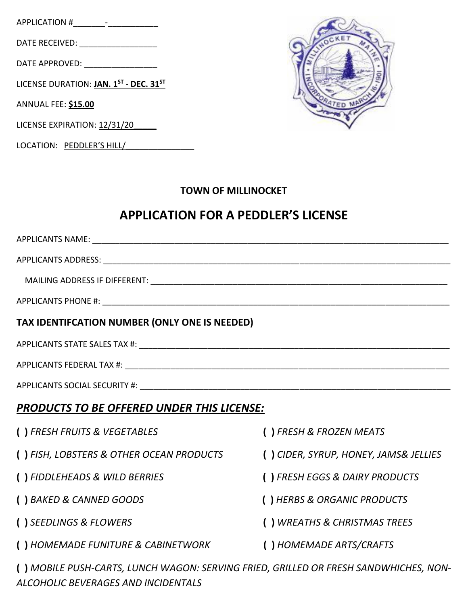APPLICATION #\_\_\_\_\_\_\_-\_\_\_\_\_\_\_\_\_\_\_

DATE RECEIVED: \_\_\_\_\_\_\_\_\_\_\_\_\_\_\_\_\_

DATE APPROVED: \_\_\_\_\_\_\_\_\_\_\_\_\_\_\_\_

LICENSE DURATION: **JAN. 1 ST - DEC. 31ST**

ANNUAL FEE: **\$15.00**

LICENSE EXPIRATION: 12/31/20

LOCATION: PEDDLER'S HILL/

*ALCOHOLIC BEVERAGES AND INCIDENTALS*



## **TOWN OF MILLINOCKET**

## **APPLICATION FOR A PEDDLER'S LICENSE**

| TAX IDENTIFCATION NUMBER (ONLY ONE IS NEEDED)                                        |                                       |
|--------------------------------------------------------------------------------------|---------------------------------------|
|                                                                                      |                                       |
|                                                                                      |                                       |
|                                                                                      |                                       |
| <b>PRODUCTS TO BE OFFERED UNDER THIS LICENSE:</b>                                    |                                       |
| () FRESH FRUITS & VEGETABLES                                                         | () FRESH & FROZEN MEATS               |
| () FISH, LOBSTERS & OTHER OCEAN PRODUCTS                                             | () CIDER, SYRUP, HONEY, JAMS& JELLIES |
| () FIDDLEHEADS & WILD BERRIES                                                        | () FRESH EGGS & DAIRY PRODUCTS        |
| () BAKED & CANNED GOODS                                                              | () HERBS & ORGANIC PRODUCTS           |
| () SEEDLINGS & FLOWERS                                                               | () WREATHS & CHRISTMAS TREES          |
| () HOMEMADE FUNITURE & CABINETWORK                                                   | () HOMEMADE ARTS/CRAFTS               |
| () MOBILE PUSH-CARTS, LUNCH WAGON: SERVING FRIED, GRILLED OR FRESH SANDWHICHES, NON- |                                       |